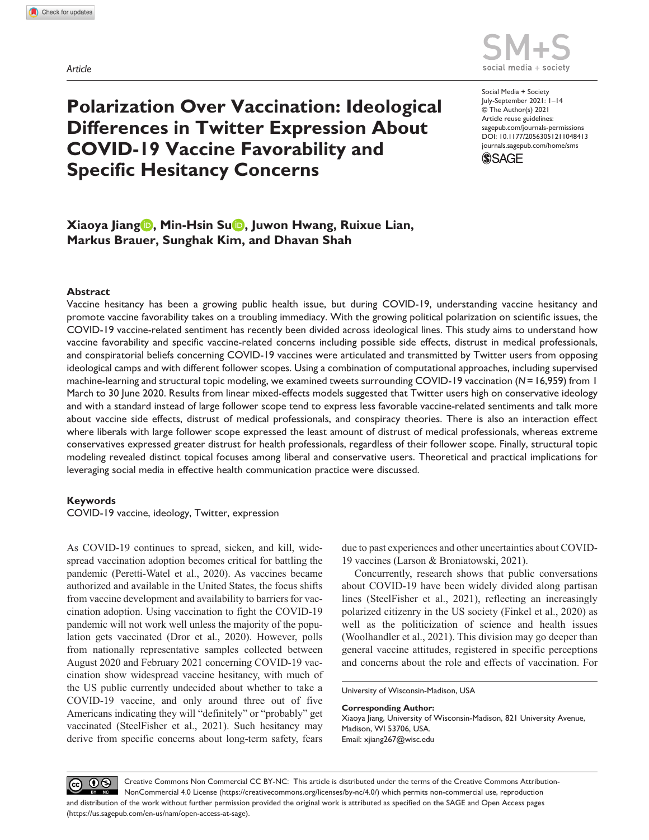*Article*



# **Polarization Over Vaccination: Ideological Differences in Twitter Expression About COVID-19 Vaccine Favorability and Specific Hesitancy Concerns**

https://doi.org/10.1177/20563051211048413 DOI: 10.1177/20563051211048413 Social Media + Society July-September 2021: 1–14 © The Author(s) 2021 Article reuse guidelines: [sagepub.com/journals-permissions](https://uk.sagepub.com/en-gb/journals-permissions) [journals.sagepub.com/home/sms](https://journals.sagepub.com/home/sms)



# **Xiaoya Jiang , Min-Hsin Su , Juwon Hwang, Ruixue Lian, Markus Brauer, Sunghak Kim, and Dhavan Shah**

## **Abstract**

Vaccine hesitancy has been a growing public health issue, but during COVID-19, understanding vaccine hesitancy and promote vaccine favorability takes on a troubling immediacy. With the growing political polarization on scientific issues, the COVID-19 vaccine-related sentiment has recently been divided across ideological lines. This study aims to understand how vaccine favorability and specific vaccine-related concerns including possible side effects, distrust in medical professionals, and conspiratorial beliefs concerning COVID-19 vaccines were articulated and transmitted by Twitter users from opposing ideological camps and with different follower scopes. Using a combination of computational approaches, including supervised machine-learning and structural topic modeling, we examined tweets surrounding COVID-19 vaccination (*N*=16,959) from 1 March to 30 June 2020. Results from linear mixed-effects models suggested that Twitter users high on conservative ideology and with a standard instead of large follower scope tend to express less favorable vaccine-related sentiments and talk more about vaccine side effects, distrust of medical professionals, and conspiracy theories. There is also an interaction effect where liberals with large follower scope expressed the least amount of distrust of medical professionals, whereas extreme conservatives expressed greater distrust for health professionals, regardless of their follower scope. Finally, structural topic modeling revealed distinct topical focuses among liberal and conservative users. Theoretical and practical implications for leveraging social media in effective health communication practice were discussed.

#### **Keywords**

COVID-19 vaccine, ideology, Twitter, expression

As COVID-19 continues to spread, sicken, and kill, widespread vaccination adoption becomes critical for battling the pandemic (Peretti-Watel et al., 2020). As vaccines became authorized and available in the United States, the focus shifts from vaccine development and availability to barriers for vaccination adoption. Using vaccination to fight the COVID-19 pandemic will not work well unless the majority of the population gets vaccinated (Dror et al., 2020). However, polls from nationally representative samples collected between August 2020 and February 2021 concerning COVID-19 vaccination show widespread vaccine hesitancy, with much of the US public currently undecided about whether to take a COVID-19 vaccine, and only around three out of five Americans indicating they will "definitely" or "probably" get vaccinated (SteelFisher et al., 2021). Such hesitancy may derive from specific concerns about long-term safety, fears due to past experiences and other uncertainties about COVID-19 vaccines (Larson & Broniatowski, 2021).

Concurrently, research shows that public conversations about COVID-19 have been widely divided along partisan lines (SteelFisher et al., 2021), reflecting an increasingly polarized citizenry in the US society (Finkel et al., 2020) as well as the politicization of science and health issues (Woolhandler et al., 2021). This division may go deeper than general vaccine attitudes, registered in specific perceptions and concerns about the role and effects of vaccination. For

University of Wisconsin-Madison, USA

#### **Corresponding Author:**

Xiaoya Jiang, University of Wisconsin-Madison, 821 University Avenue, Madison, WI 53706, USA. Email: [xjiang267@wisc.edu](mailto:xjiang267@wisc.edu)

 $\circledcirc$   $\bullet$   $\circledcirc$ Creative Commons Non Commercial CC BY-NC: This article is distributed under the terms of the Creative Commons Attribution-NonCommercial 4.0 License (https://creativecommons.org/licenses/by-nc/4.0/) which permits non-commercial use, reproduction and distribution of the work without further permission provided the original work is attributed as specified on the SAGE and Open Access pages (https://us.sagepub.com/en-us/nam/open-access-at-sage).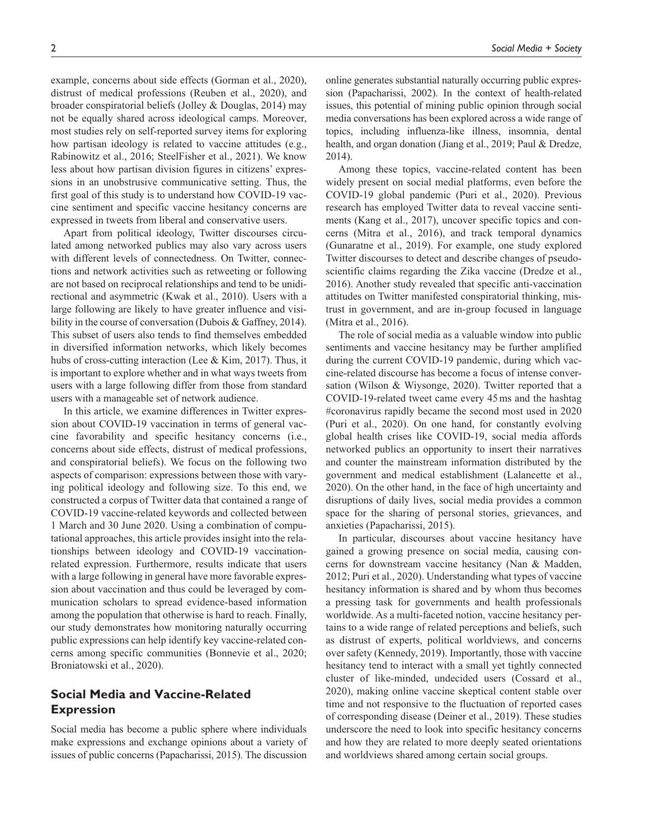example, concerns about side effects (Gorman et al., 2020), distrust of medical professions (Reuben et al., 2020), and broader conspiratorial beliefs (Jolley & Douglas, 2014) may not be equally shared across ideological camps. Moreover, most studies rely on self-reported survey items for exploring how partisan ideology is related to vaccine attitudes (e.g., Rabinowitz et al., 2016; SteelFisher et al., 2021). We know less about how partisan division figures in citizens' expressions in an unobstrusive communicative setting. Thus, the first goal of this study is to understand how COVID-19 vaccine sentiment and specific vaccine hesitancy concerns are expressed in tweets from liberal and conservative users.

Apart from political ideology, Twitter discourses circulated among networked publics may also vary across users with different levels of connectedness. On Twitter, connections and network activities such as retweeting or following are not based on reciprocal relationships and tend to be unidirectional and asymmetric (Kwak et al., 2010). Users with a large following are likely to have greater influence and visibility in the course of conversation (Dubois & Gaffney, 2014). This subset of users also tends to find themselves embedded in diversified information networks, which likely becomes hubs of cross-cutting interaction (Lee & Kim, 2017). Thus, it is important to explore whether and in what ways tweets from users with a large following differ from those from standard users with a manageable set of network audience.

In this article, we examine differences in Twitter expression about COVID-19 vaccination in terms of general vaccine favorability and specific hesitancy concerns (i.e., concerns about side effects, distrust of medical professions, and conspiratorial beliefs). We focus on the following two aspects of comparison: expressions between those with varying political ideology and following size. To this end, we constructed a corpus of Twitter data that contained a range of COVID-19 vaccine-related keywords and collected between 1 March and 30 June 2020. Using a combination of computational approaches, this article provides insight into the relationships between ideology and COVID-19 vaccinationrelated expression. Furthermore, results indicate that users with a large following in general have more favorable expression about vaccination and thus could be leveraged by communication scholars to spread evidence-based information among the population that otherwise is hard to reach. Finally, our study demonstrates how monitoring naturally occurring public expressions can help identify key vaccine-related concerns among specific communities (Bonnevie et al., 2020; Broniatowski et al., 2020).

## **Social Media and Vaccine-Related Expression**

Social media has become a public sphere where individuals make expressions and exchange opinions about a variety of issues of public concerns (Papacharissi, 2015). The discussion

online generates substantial naturally occurring public expression (Papacharissi, 2002). In the context of health-related issues, this potential of mining public opinion through social media conversations has been explored across a wide range of topics, including influenza-like illness, insomnia, dental health, and organ donation (Jiang et al., 2019; Paul & Dredze, 2014).

Among these topics, vaccine-related content has been widely present on social medial platforms, even before the COVID-19 global pandemic (Puri et al., 2020). Previous research has employed Twitter data to reveal vaccine sentiments (Kang et al., 2017), uncover specific topics and concerns (Mitra et al., 2016), and track temporal dynamics (Gunaratne et al., 2019). For example, one study explored Twitter discourses to detect and describe changes of pseudoscientific claims regarding the Zika vaccine (Dredze et al., 2016). Another study revealed that specific anti-vaccination attitudes on Twitter manifested conspiratorial thinking, mistrust in government, and are in-group focused in language (Mitra et al., 2016).

The role of social media as a valuable window into public sentiments and vaccine hesitancy may be further amplified during the current COVID-19 pandemic, during which vaccine-related discourse has become a focus of intense conversation (Wilson & Wiysonge, 2020). Twitter reported that a COVID-19-related tweet came every 45ms and the hashtag #coronavirus rapidly became the second most used in 2020 (Puri et al., 2020). On one hand, for constantly evolving global health crises like COVID-19, social media affords networked publics an opportunity to insert their narratives and counter the mainstream information distributed by the government and medical establishment (Lalancette et al., 2020). On the other hand, in the face of high uncertainty and disruptions of daily lives, social media provides a common space for the sharing of personal stories, grievances, and anxieties (Papacharissi, 2015).

In particular, discourses about vaccine hesitancy have gained a growing presence on social media, causing concerns for downstream vaccine hesitancy (Nan & Madden, 2012; Puri et al., 2020). Understanding what types of vaccine hesitancy information is shared and by whom thus becomes a pressing task for governments and health professionals worldwide. As a multi-faceted notion, vaccine hesitancy pertains to a wide range of related perceptions and beliefs, such as distrust of experts, political worldviews, and concerns over safety (Kennedy, 2019). Importantly, those with vaccine hesitancy tend to interact with a small yet tightly connected cluster of like-minded, undecided users (Cossard et al., 2020), making online vaccine skeptical content stable over time and not responsive to the fluctuation of reported cases of corresponding disease (Deiner et al., 2019). These studies underscore the need to look into specific hesitancy concerns and how they are related to more deeply seated orientations and worldviews shared among certain social groups.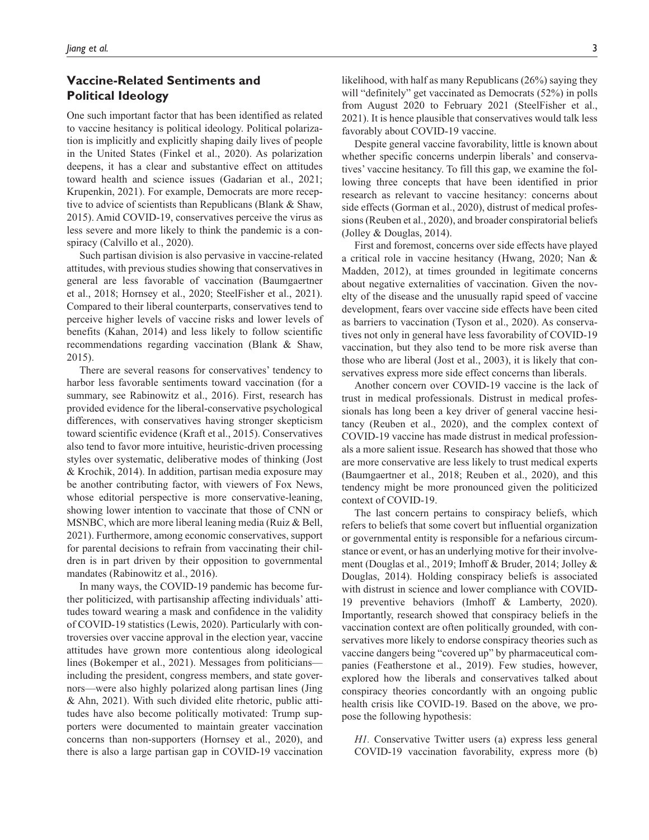# **Vaccine-Related Sentiments and Political Ideology**

One such important factor that has been identified as related to vaccine hesitancy is political ideology. Political polarization is implicitly and explicitly shaping daily lives of people in the United States (Finkel et al., 2020). As polarization deepens, it has a clear and substantive effect on attitudes toward health and science issues (Gadarian et al., 2021; Krupenkin, 2021). For example, Democrats are more receptive to advice of scientists than Republicans (Blank & Shaw, 2015). Amid COVID-19, conservatives perceive the virus as less severe and more likely to think the pandemic is a conspiracy (Calvillo et al., 2020).

Such partisan division is also pervasive in vaccine-related attitudes, with previous studies showing that conservatives in general are less favorable of vaccination (Baumgaertner et al., 2018; Hornsey et al., 2020; SteelFisher et al., 2021). Compared to their liberal counterparts, conservatives tend to perceive higher levels of vaccine risks and lower levels of benefits (Kahan, 2014) and less likely to follow scientific recommendations regarding vaccination (Blank & Shaw, 2015).

There are several reasons for conservatives' tendency to harbor less favorable sentiments toward vaccination (for a summary, see Rabinowitz et al., 2016). First, research has provided evidence for the liberal-conservative psychological differences, with conservatives having stronger skepticism toward scientific evidence (Kraft et al., 2015). Conservatives also tend to favor more intuitive, heuristic-driven processing styles over systematic, deliberative modes of thinking (Jost & Krochik, 2014). In addition, partisan media exposure may be another contributing factor, with viewers of Fox News, whose editorial perspective is more conservative-leaning, showing lower intention to vaccinate that those of CNN or MSNBC, which are more liberal leaning media (Ruiz & Bell, 2021). Furthermore, among economic conservatives, support for parental decisions to refrain from vaccinating their children is in part driven by their opposition to governmental mandates (Rabinowitz et al., 2016).

In many ways, the COVID-19 pandemic has become further politicized, with partisanship affecting individuals' attitudes toward wearing a mask and confidence in the validity of COVID-19 statistics (Lewis, 2020). Particularly with controversies over vaccine approval in the election year, vaccine attitudes have grown more contentious along ideological lines (Bokemper et al., 2021). Messages from politicians including the president, congress members, and state governors—were also highly polarized along partisan lines (Jing & Ahn, 2021). With such divided elite rhetoric, public attitudes have also become politically motivated: Trump supporters were documented to maintain greater vaccination concerns than non-supporters (Hornsey et al., 2020), and there is also a large partisan gap in COVID-19 vaccination likelihood, with half as many Republicans (26%) saying they will "definitely" get vaccinated as Democrats (52%) in polls from August 2020 to February 2021 (SteelFisher et al., 2021). It is hence plausible that conservatives would talk less favorably about COVID-19 vaccine.

Despite general vaccine favorability, little is known about whether specific concerns underpin liberals' and conservatives' vaccine hesitancy. To fill this gap, we examine the following three concepts that have been identified in prior research as relevant to vaccine hesitancy: concerns about side effects (Gorman et al., 2020), distrust of medical professions (Reuben et al., 2020), and broader conspiratorial beliefs (Jolley & Douglas, 2014).

First and foremost, concerns over side effects have played a critical role in vaccine hesitancy (Hwang, 2020; Nan & Madden, 2012), at times grounded in legitimate concerns about negative externalities of vaccination. Given the novelty of the disease and the unusually rapid speed of vaccine development, fears over vaccine side effects have been cited as barriers to vaccination (Tyson et al., 2020). As conservatives not only in general have less favorability of COVID-19 vaccination, but they also tend to be more risk averse than those who are liberal (Jost et al., 2003), it is likely that conservatives express more side effect concerns than liberals.

Another concern over COVID-19 vaccine is the lack of trust in medical professionals. Distrust in medical professionals has long been a key driver of general vaccine hesitancy (Reuben et al., 2020), and the complex context of COVID-19 vaccine has made distrust in medical professionals a more salient issue. Research has showed that those who are more conservative are less likely to trust medical experts (Baumgaertner et al., 2018; Reuben et al., 2020), and this tendency might be more pronounced given the politicized context of COVID-19.

The last concern pertains to conspiracy beliefs, which refers to beliefs that some covert but influential organization or governmental entity is responsible for a nefarious circumstance or event, or has an underlying motive for their involvement (Douglas et al., 2019; Imhoff & Bruder, 2014; Jolley & Douglas, 2014). Holding conspiracy beliefs is associated with distrust in science and lower compliance with COVID-19 preventive behaviors (Imhoff & Lamberty, 2020). Importantly, research showed that conspiracy beliefs in the vaccination context are often politically grounded, with conservatives more likely to endorse conspiracy theories such as vaccine dangers being "covered up" by pharmaceutical companies (Featherstone et al., 2019). Few studies, however, explored how the liberals and conservatives talked about conspiracy theories concordantly with an ongoing public health crisis like COVID-19. Based on the above, we propose the following hypothesis:

*H1.* Conservative Twitter users (a) express less general COVID-19 vaccination favorability, express more (b)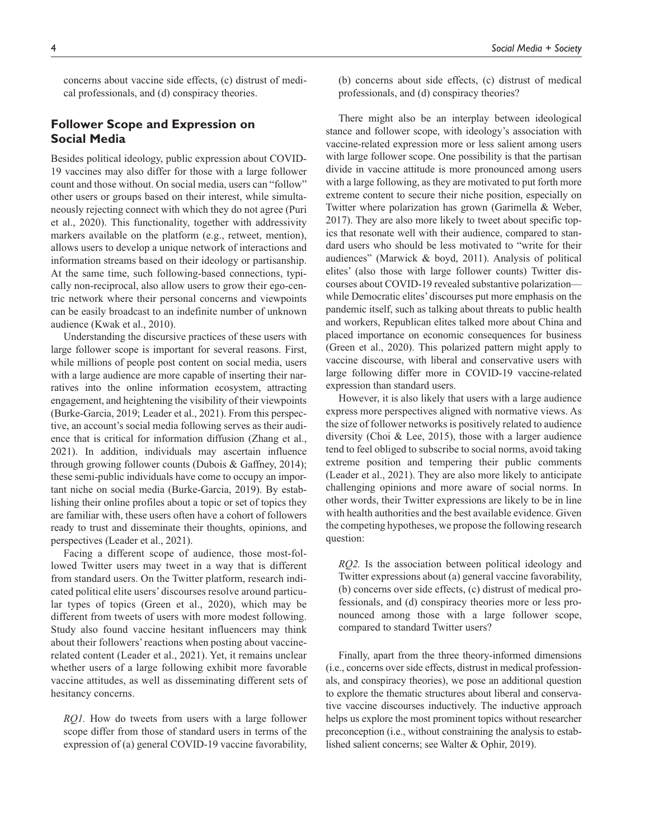concerns about vaccine side effects, (c) distrust of medical professionals, and (d) conspiracy theories.

## **Follower Scope and Expression on Social Media**

Besides political ideology, public expression about COVID-19 vaccines may also differ for those with a large follower count and those without. On social media, users can "follow" other users or groups based on their interest, while simultaneously rejecting connect with which they do not agree (Puri et al., 2020). This functionality, together with addressivity markers available on the platform (e.g., retweet, mention), allows users to develop a unique network of interactions and information streams based on their ideology or partisanship. At the same time, such following-based connections, typically non-reciprocal, also allow users to grow their ego-centric network where their personal concerns and viewpoints can be easily broadcast to an indefinite number of unknown audience (Kwak et al., 2010).

Understanding the discursive practices of these users with large follower scope is important for several reasons. First, while millions of people post content on social media, users with a large audience are more capable of inserting their narratives into the online information ecosystem, attracting engagement, and heightening the visibility of their viewpoints (Burke-Garcia, 2019; Leader et al., 2021). From this perspective, an account's social media following serves as their audience that is critical for information diffusion (Zhang et al., 2021). In addition, individuals may ascertain influence through growing follower counts (Dubois & Gaffney, 2014); these semi-public individuals have come to occupy an important niche on social media (Burke-Garcia, 2019). By establishing their online profiles about a topic or set of topics they are familiar with, these users often have a cohort of followers ready to trust and disseminate their thoughts, opinions, and perspectives (Leader et al., 2021).

Facing a different scope of audience, those most-followed Twitter users may tweet in a way that is different from standard users. On the Twitter platform, research indicated political elite users' discourses resolve around particular types of topics (Green et al., 2020), which may be different from tweets of users with more modest following. Study also found vaccine hesitant influencers may think about their followers' reactions when posting about vaccinerelated content (Leader et al., 2021). Yet, it remains unclear whether users of a large following exhibit more favorable vaccine attitudes, as well as disseminating different sets of hesitancy concerns.

*RQ1.* How do tweets from users with a large follower scope differ from those of standard users in terms of the expression of (a) general COVID-19 vaccine favorability,

(b) concerns about side effects, (c) distrust of medical professionals, and (d) conspiracy theories?

There might also be an interplay between ideological stance and follower scope, with ideology's association with vaccine-related expression more or less salient among users with large follower scope. One possibility is that the partisan divide in vaccine attitude is more pronounced among users with a large following, as they are motivated to put forth more extreme content to secure their niche position, especially on Twitter where polarization has grown (Garimella & Weber, 2017). They are also more likely to tweet about specific topics that resonate well with their audience, compared to standard users who should be less motivated to "write for their audiences" (Marwick & boyd, 2011). Analysis of political elites' (also those with large follower counts) Twitter discourses about COVID-19 revealed substantive polarization while Democratic elites' discourses put more emphasis on the pandemic itself, such as talking about threats to public health and workers, Republican elites talked more about China and placed importance on economic consequences for business (Green et al., 2020). This polarized pattern might apply to vaccine discourse, with liberal and conservative users with large following differ more in COVID-19 vaccine-related expression than standard users.

However, it is also likely that users with a large audience express more perspectives aligned with normative views. As the size of follower networks is positively related to audience diversity (Choi & Lee, 2015), those with a larger audience tend to feel obliged to subscribe to social norms, avoid taking extreme position and tempering their public comments (Leader et al., 2021). They are also more likely to anticipate challenging opinions and more aware of social norms. In other words, their Twitter expressions are likely to be in line with health authorities and the best available evidence. Given the competing hypotheses, we propose the following research question:

*RQ2.* Is the association between political ideology and Twitter expressions about (a) general vaccine favorability, (b) concerns over side effects, (c) distrust of medical professionals, and (d) conspiracy theories more or less pronounced among those with a large follower scope, compared to standard Twitter users?

Finally, apart from the three theory-informed dimensions (i.e., concerns over side effects, distrust in medical professionals, and conspiracy theories), we pose an additional question to explore the thematic structures about liberal and conservative vaccine discourses inductively. The inductive approach helps us explore the most prominent topics without researcher preconception (i.e., without constraining the analysis to established salient concerns; see Walter & Ophir, 2019).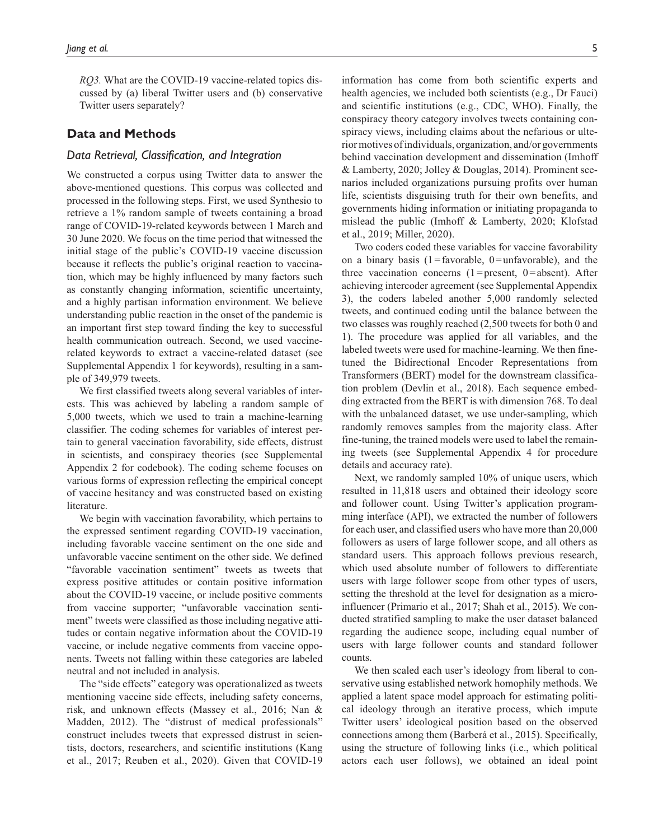*RQ3.* What are the COVID-19 vaccine-related topics discussed by (a) liberal Twitter users and (b) conservative Twitter users separately?

## **Data and Methods**

### *Data Retrieval, Classification, and Integration*

We constructed a corpus using Twitter data to answer the above-mentioned questions. This corpus was collected and processed in the following steps. First, we used Synthesio to retrieve a 1% random sample of tweets containing a broad range of COVID-19-related keywords between 1 March and 30 June 2020. We focus on the time period that witnessed the initial stage of the public's COVID-19 vaccine discussion because it reflects the public's original reaction to vaccination, which may be highly influenced by many factors such as constantly changing information, scientific uncertainty, and a highly partisan information environment. We believe understanding public reaction in the onset of the pandemic is an important first step toward finding the key to successful health communication outreach. Second, we used vaccinerelated keywords to extract a vaccine-related dataset (see Supplemental Appendix 1 for keywords), resulting in a sample of 349,979 tweets.

We first classified tweets along several variables of interests. This was achieved by labeling a random sample of 5,000 tweets, which we used to train a machine-learning classifier. The coding schemes for variables of interest pertain to general vaccination favorability, side effects, distrust in scientists, and conspiracy theories (see Supplemental Appendix 2 for codebook). The coding scheme focuses on various forms of expression reflecting the empirical concept of vaccine hesitancy and was constructed based on existing literature.

We begin with vaccination favorability, which pertains to the expressed sentiment regarding COVID-19 vaccination, including favorable vaccine sentiment on the one side and unfavorable vaccine sentiment on the other side. We defined "favorable vaccination sentiment" tweets as tweets that express positive attitudes or contain positive information about the COVID-19 vaccine, or include positive comments from vaccine supporter; "unfavorable vaccination sentiment" tweets were classified as those including negative attitudes or contain negative information about the COVID-19 vaccine, or include negative comments from vaccine opponents. Tweets not falling within these categories are labeled neutral and not included in analysis.

The "side effects" category was operationalized as tweets mentioning vaccine side effects, including safety concerns, risk, and unknown effects (Massey et al., 2016; Nan & Madden, 2012). The "distrust of medical professionals" construct includes tweets that expressed distrust in scientists, doctors, researchers, and scientific institutions (Kang et al., 2017; Reuben et al., 2020). Given that COVID-19

information has come from both scientific experts and health agencies, we included both scientists (e.g., Dr Fauci) and scientific institutions (e.g., CDC, WHO). Finally, the conspiracy theory category involves tweets containing conspiracy views, including claims about the nefarious or ulterior motives of individuals, organization, and/or governments behind vaccination development and dissemination (Imhoff & Lamberty, 2020; Jolley & Douglas, 2014). Prominent scenarios included organizations pursuing profits over human life, scientists disguising truth for their own benefits, and governments hiding information or initiating propaganda to mislead the public (Imhoff & Lamberty, 2020; Klofstad et al., 2019; Miller, 2020).

Two coders coded these variables for vaccine favorability on a binary basis  $(1 = \text{favorable}, 0 = \text{unfavorable})$ , and the three vaccination concerns  $(1)$ =present, 0=absent). After achieving intercoder agreement (see Supplemental Appendix 3), the coders labeled another 5,000 randomly selected tweets, and continued coding until the balance between the two classes was roughly reached (2,500 tweets for both 0 and 1). The procedure was applied for all variables, and the labeled tweets were used for machine-learning. We then finetuned the Bidirectional Encoder Representations from Transformers (BERT) model for the downstream classification problem (Devlin et al., 2018). Each sequence embedding extracted from the BERT is with dimension 768. To deal with the unbalanced dataset, we use under-sampling, which randomly removes samples from the majority class. After fine-tuning, the trained models were used to label the remaining tweets (see Supplemental Appendix 4 for procedure details and accuracy rate).

Next, we randomly sampled 10% of unique users, which resulted in 11,818 users and obtained their ideology score and follower count. Using Twitter's application programming interface (API), we extracted the number of followers for each user, and classified users who have more than 20,000 followers as users of large follower scope, and all others as standard users. This approach follows previous research, which used absolute number of followers to differentiate users with large follower scope from other types of users, setting the threshold at the level for designation as a microinfluencer (Primario et al., 2017; Shah et al., 2015). We conducted stratified sampling to make the user dataset balanced regarding the audience scope, including equal number of users with large follower counts and standard follower counts.

We then scaled each user's ideology from liberal to conservative using established network homophily methods. We applied a latent space model approach for estimating political ideology through an iterative process, which impute Twitter users' ideological position based on the observed connections among them (Barberá et al., 2015). Specifically, using the structure of following links (i.e., which political actors each user follows), we obtained an ideal point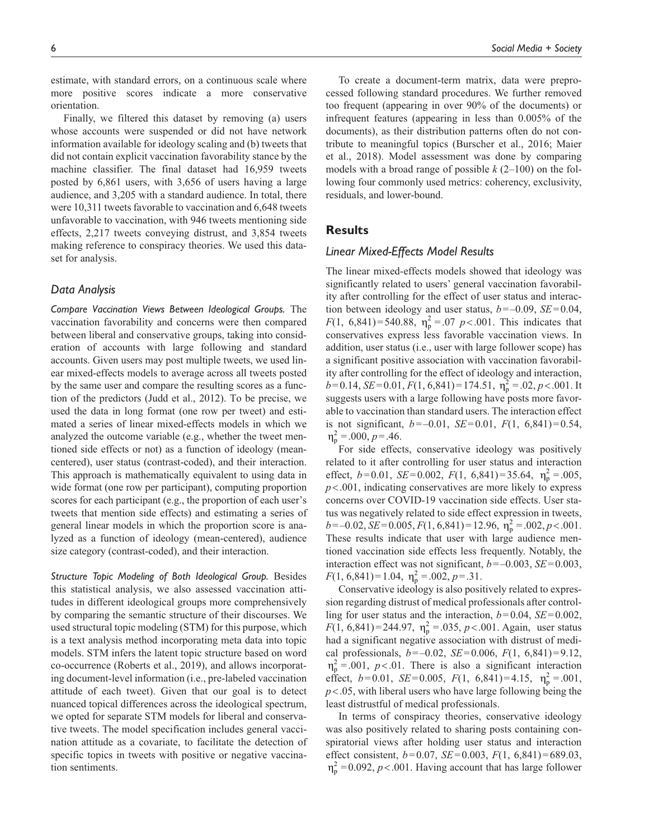estimate, with standard errors, on a continuous scale where more positive scores indicate a more conservative orientation.

Finally, we filtered this dataset by removing (a) users whose accounts were suspended or did not have network information available for ideology scaling and (b) tweets that did not contain explicit vaccination favorability stance by the machine classifier. The final dataset had 16,959 tweets posted by 6,861 users, with 3,656 of users having a large audience, and 3,205 with a standard audience. In total, there were 10,311 tweets favorable to vaccination and 6,648 tweets unfavorable to vaccination, with 946 tweets mentioning side effects, 2,217 tweets conveying distrust, and 3,854 tweets making reference to conspiracy theories. We used this dataset for analysis.

## *Data Analysis*

*Compare Vaccination Views Between Ideological Groups.* The vaccination favorability and concerns were then compared between liberal and conservative groups, taking into consideration of accounts with large following and standard accounts. Given users may post multiple tweets, we used linear mixed-effects models to average across all tweets posted by the same user and compare the resulting scores as a function of the predictors (Judd et al., 2012). To be precise, we used the data in long format (one row per tweet) and estimated a series of linear mixed-effects models in which we analyzed the outcome variable (e.g., whether the tweet mentioned side effects or not) as a function of ideology (meancentered), user status (contrast-coded), and their interaction. This approach is mathematically equivalent to using data in wide format (one row per participant), computing proportion scores for each participant (e.g., the proportion of each user's tweets that mention side effects) and estimating a series of general linear models in which the proportion score is analyzed as a function of ideology (mean-centered), audience size category (contrast-coded), and their interaction.

*Structure Topic Modeling of Both Ideological Group.* Besides this statistical analysis, we also assessed vaccination attitudes in different ideological groups more comprehensively by comparing the semantic structure of their discourses. We used structural topic modeling (STM) for this purpose, which is a text analysis method incorporating meta data into topic models. STM infers the latent topic structure based on word co-occurrence (Roberts et al., 2019), and allows incorporating document-level information (i.e., pre-labeled vaccination attitude of each tweet). Given that our goal is to detect nuanced topical differences across the ideological spectrum, we opted for separate STM models for liberal and conservative tweets. The model specification includes general vaccination attitude as a covariate, to facilitate the detection of specific topics in tweets with positive or negative vaccination sentiments.

To create a document-term matrix, data were preprocessed following standard procedures. We further removed too frequent (appearing in over 90% of the documents) or infrequent features (appearing in less than 0.005% of the documents), as their distribution patterns often do not contribute to meaningful topics (Burscher et al., 2016; Maier et al., 2018). Model assessment was done by comparing models with a broad range of possible *k* (2–100) on the following four commonly used metrics: coherency, exclusivity, residuals, and lower-bound.

## **Results**

## *Linear Mixed-Effects Model Results*

The linear mixed-effects models showed that ideology was significantly related to users' general vaccination favorability after controlling for the effect of user status and interaction between ideology and user status, *b*=–0.09, *SE*=0.04, *F*(1, 6,841)=540.88,  $\eta_p^2 = 0.07$  *p* < 0.001. This indicates that conservatives express less favorable vaccination views. In addition, user status (i.e., user with large follower scope) has a significant positive association with vaccination favorability after controlling for the effect of ideology and interaction,  $b=0.14$ ,  $SE=0.01$ ,  $F(1, 6,841)=174.51$ ,  $\eta_p^2 = .02$ ,  $p < .001$ . It suggests users with a large following have posts more favorable to vaccination than standard users. The interaction effect is not significant, *b*=–0.01, *SE*=0.01, *F*(1, 6,841)=0.54,  $\eta_p^2 = 0.00, p = 0.46.$ 

For side effects, conservative ideology was positively related to it after controlling for user status and interaction effect,  $b=0.01$ ,  $SE=0.002$ ,  $F(1, 6,841)=35.64$ ,  $\eta_p^2 = .005$ , *p*<.001, indicating conservatives are more likely to express concerns over COVID-19 vaccination side effects. User status was negatively related to side effect expression in tweets,  $b = -0.02$ ,  $SE = 0.005$ ,  $F(1, 6,841) = 12.96$ ,  $\eta_p^2 = .002$ ,  $p < .001$ . These results indicate that user with large audience mentioned vaccination side effects less frequently. Notably, the interaction effect was not significant, *b*=–0.003, *SE*=0.003,  $F(1, 6,841)=1.04, \ \eta_p^2 = .002, p = .31.$ 

Conservative ideology is also positively related to expression regarding distrust of medical professionals after controlling for user status and the interaction, *b*=0.04, *SE*=0.002, *F*(1, 6,841)=244.97,  $\eta_p^2 = .035$ , *p*<.001. Again, user status had a significant negative association with distrust of medical professionals, *b*=–0.02, *SE*=0.006, *F*(1, 6,841)=9.12,  $\eta_p^2 = .001$ , *p*<.01. There is also a significant interaction effect,  $b=0.01$ ,  $SE=0.005$ ,  $F(1, 6,841)=4.15$ ,  $\eta_p^2 = .001$ , *p*<.05, with liberal users who have large following being the least distrustful of medical professionals.

In terms of conspiracy theories, conservative ideology was also positively related to sharing posts containing conspiratorial views after holding user status and interaction effect consistent, *b*=0.07, *SE*=0.003, *F*(1, 6,841)=689.03,  $\eta_p^2$  = 0.092, *p* < .001. Having account that has large follower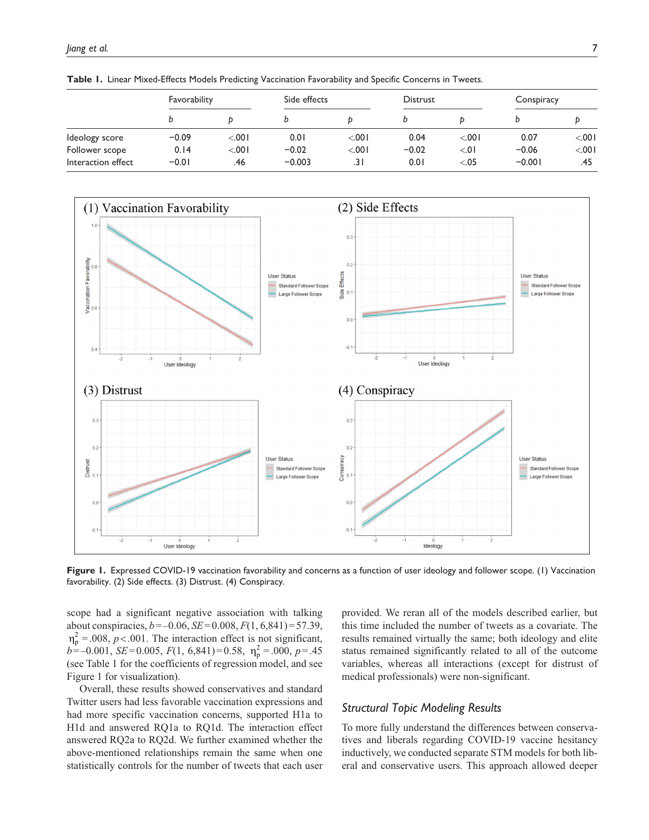|                    | Favorability |         | Side effects |      | <b>Distrust</b> |        | Conspiracy |         |
|--------------------|--------------|---------|--------------|------|-----------------|--------|------------|---------|
|                    | b            |         |              |      |                 |        |            |         |
| Ideology score     | $-0.09$      | < 0.001 | 0.01         | 100. | 0.04            | < .001 | 0.07       | < 0.001 |
| Follower scope     | 0.14         | < 0.001 | $-0.02$      | 100. | $-0.02$         | < 0.1  | $-0.06$    | < 0.001 |
| Interaction effect | $-0.01$      | .46     | $-0.003$     | .31  | 0.01            | < 0.05 | $-0.001$   | .45     |

**Table 1.** Linear Mixed-Effects Models Predicting Vaccination Favorability and Specific Concerns in Tweets.



Figure 1. Expressed COVID-19 vaccination favorability and concerns as a function of user ideology and follower scope. (1) Vaccination favorability. (2) Side effects. (3) Distrust. (4) Conspiracy.

scope had a significant negative association with talking about conspiracies, *b*=–0.06, *SE*=0.008, *F*(1, 6,841)=57.39,  $\eta_p^2 = 0.008$ ,  $p < 0.001$ . The interaction effect is not significant,  $b = -0.001$ , *SE*=0.005, *F*(1, 6,841)=0.58,  $\eta_p^2 = .000$ , *p*=.45 (see Table 1 for the coefficients of regression model, and see Figure 1 for visualization).

Overall, these results showed conservatives and standard Twitter users had less favorable vaccination expressions and had more specific vaccination concerns, supported H1a to H1d and answered RQ1a to RQ1d. The interaction effect answered RQ2a to RQ2d. We further examined whether the above-mentioned relationships remain the same when one statistically controls for the number of tweets that each user provided. We reran all of the models described earlier, but this time included the number of tweets as a covariate. The results remained virtually the same; both ideology and elite status remained significantly related to all of the outcome variables, whereas all interactions (except for distrust of medical professionals) were non-significant.

## *Structural Topic Modeling Results*

To more fully understand the differences between conservatives and liberals regarding COVID-19 vaccine hesitancy inductively, we conducted separate STM models for both liberal and conservative users. This approach allowed deeper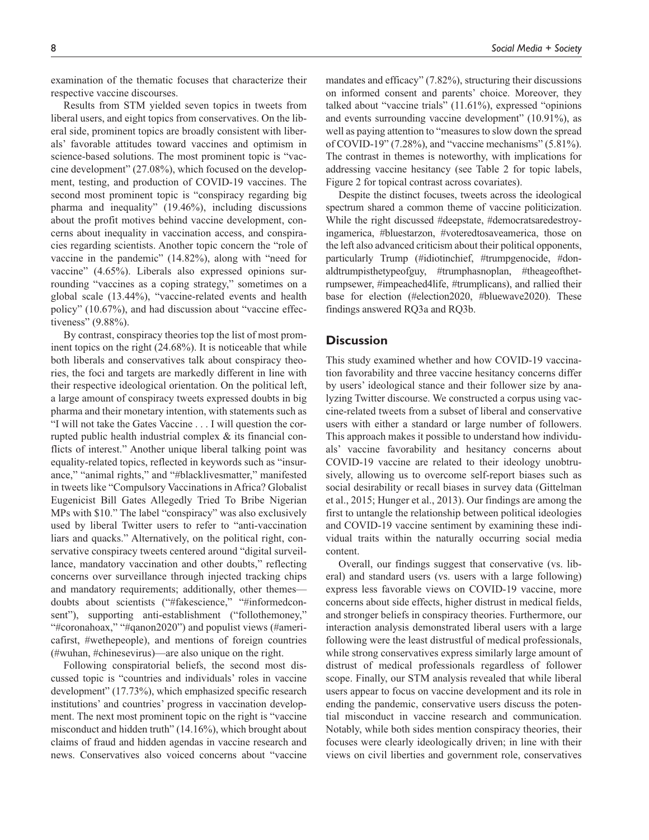examination of the thematic focuses that characterize their

respective vaccine discourses. Results from STM yielded seven topics in tweets from liberal users, and eight topics from conservatives. On the liberal side, prominent topics are broadly consistent with liberals' favorable attitudes toward vaccines and optimism in science-based solutions. The most prominent topic is "vaccine development" (27.08%), which focused on the development, testing, and production of COVID-19 vaccines. The second most prominent topic is "conspiracy regarding big pharma and inequality" (19.46%), including discussions about the profit motives behind vaccine development, concerns about inequality in vaccination access, and conspiracies regarding scientists. Another topic concern the "role of vaccine in the pandemic" (14.82%), along with "need for vaccine" (4.65%). Liberals also expressed opinions surrounding "vaccines as a coping strategy," sometimes on a global scale (13.44%), "vaccine-related events and health policy" (10.67%), and had discussion about "vaccine effectiveness" (9.88%).

By contrast, conspiracy theories top the list of most prominent topics on the right (24.68%). It is noticeable that while both liberals and conservatives talk about conspiracy theories, the foci and targets are markedly different in line with their respective ideological orientation. On the political left, a large amount of conspiracy tweets expressed doubts in big pharma and their monetary intention, with statements such as "I will not take the Gates Vaccine . . . I will question the corrupted public health industrial complex & its financial conflicts of interest." Another unique liberal talking point was equality-related topics, reflected in keywords such as "insurance," "animal rights," and "#blacklivesmatter," manifested in tweets like "Compulsory Vaccinations in Africa? Globalist Eugenicist Bill Gates Allegedly Tried To Bribe Nigerian MPs with \$10." The label "conspiracy" was also exclusively used by liberal Twitter users to refer to "anti-vaccination liars and quacks." Alternatively, on the political right, conservative conspiracy tweets centered around "digital surveillance, mandatory vaccination and other doubts," reflecting concerns over surveillance through injected tracking chips and mandatory requirements; additionally, other themes doubts about scientists ("#fakescience," "#informedconsent"), supporting anti-establishment ("follothemoney," "#coronahoax," "#qanon2020") and populist views (#americafirst, #wethepeople), and mentions of foreign countries (#wuhan, #chinesevirus)—are also unique on the right.

Following conspiratorial beliefs, the second most discussed topic is "countries and individuals' roles in vaccine development" (17.73%), which emphasized specific research institutions' and countries' progress in vaccination development. The next most prominent topic on the right is "vaccine misconduct and hidden truth" (14.16%), which brought about claims of fraud and hidden agendas in vaccine research and news. Conservatives also voiced concerns about "vaccine

mandates and efficacy" (7.82%), structuring their discussions on informed consent and parents' choice. Moreover, they talked about "vaccine trials" (11.61%), expressed "opinions and events surrounding vaccine development" (10.91%), as well as paying attention to "measures to slow down the spread of COVID-19" (7.28%), and "vaccine mechanisms" (5.81%). The contrast in themes is noteworthy, with implications for addressing vaccine hesitancy (see Table 2 for topic labels, Figure 2 for topical contrast across covariates).

Despite the distinct focuses, tweets across the ideological spectrum shared a common theme of vaccine politicization. While the right discussed #deepstate, #democratsaredestroyingamerica, #bluestarzon, #voteredtosaveamerica, those on the left also advanced criticism about their political opponents, particularly Trump (#idiotinchief, #trumpgenocide, #donaldtrumpisthetypeofguy, #trumphasnoplan, #theageofthetrumpsewer, #impeached4life, #trumplicans), and rallied their base for election (#election2020, #bluewave2020). These findings answered RQ3a and RQ3b.

## **Discussion**

This study examined whether and how COVID-19 vaccination favorability and three vaccine hesitancy concerns differ by users' ideological stance and their follower size by analyzing Twitter discourse. We constructed a corpus using vaccine-related tweets from a subset of liberal and conservative users with either a standard or large number of followers. This approach makes it possible to understand how individuals' vaccine favorability and hesitancy concerns about COVID-19 vaccine are related to their ideology unobtrusively, allowing us to overcome self-report biases such as social desirability or recall biases in survey data (Gittelman et al., 2015; Hunger et al., 2013). Our findings are among the first to untangle the relationship between political ideologies and COVID-19 vaccine sentiment by examining these individual traits within the naturally occurring social media content.

Overall, our findings suggest that conservative (vs. liberal) and standard users (vs. users with a large following) express less favorable views on COVID-19 vaccine, more concerns about side effects, higher distrust in medical fields, and stronger beliefs in conspiracy theories. Furthermore, our interaction analysis demonstrated liberal users with a large following were the least distrustful of medical professionals, while strong conservatives express similarly large amount of distrust of medical professionals regardless of follower scope. Finally, our STM analysis revealed that while liberal users appear to focus on vaccine development and its role in ending the pandemic, conservative users discuss the potential misconduct in vaccine research and communication. Notably, while both sides mention conspiracy theories, their focuses were clearly ideologically driven; in line with their views on civil liberties and government role, conservatives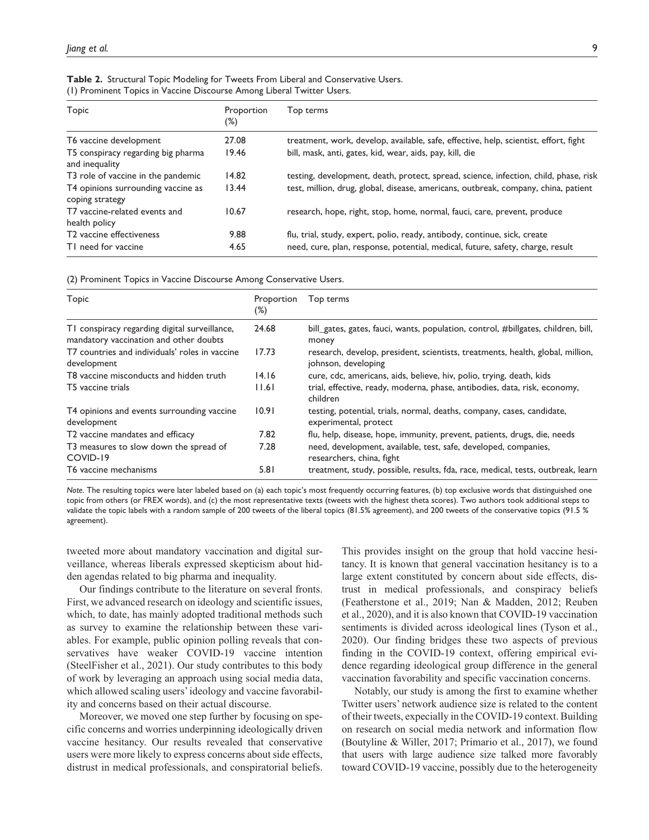| Topic                                                 | Proportion<br>(%) | Top terms                                                                            |
|-------------------------------------------------------|-------------------|--------------------------------------------------------------------------------------|
| T6 vaccine development                                | 27.08             | treatment, work, develop, available, safe, effective, help, scientist, effort, fight |
| T5 conspiracy regarding big pharma<br>and inequality  | 19.46             | bill, mask, anti, gates, kid, wear, aids, pay, kill, die                             |
| T3 role of vaccine in the pandemic                    | 14.82             | testing, development, death, protect, spread, science, infection, child, phase, risk |
| T4 opinions surrounding vaccine as<br>coping strategy | 13.44             | test, million, drug, global, disease, americans, outbreak, company, china, patient   |
| T7 vaccine-related events and<br>health policy        | 10.67             | research, hope, right, stop, home, normal, fauci, care, prevent, produce             |
| T2 vaccine effectiveness                              | 9.88              | flu, trial, study, expert, polio, ready, antibody, continue, sick, create            |
| TI need for vaccine                                   | 4.65              | need, cure, plan, response, potential, medical, future, safety, charge, result       |

|  |  |  | Table 2. Structural Topic Modeling for Tweets From Liberal and Conservative Users. |  |  |  |  |
|--|--|--|------------------------------------------------------------------------------------|--|--|--|--|
|  |  |  | (1) Prominent Topics in Vaccine Discourse Among Liberal Twitter Users.             |  |  |  |  |

(2) Prominent Topics in Vaccine Discourse Among Conservative Users.

| <b>Topic</b>                                                                            | Proportion<br>(%) | Top terms                                                                                             |
|-----------------------------------------------------------------------------------------|-------------------|-------------------------------------------------------------------------------------------------------|
| TI conspiracy regarding digital surveillance,<br>mandatory vaccination and other doubts | 24.68             | bill_gates, gates, fauci, wants, population, control, #billgates, children, bill,<br>money            |
| T7 countries and individuals' roles in vaccine<br>development                           | 17.73             | research, develop, president, scientists, treatments, health, global, million,<br>johnson, developing |
| T8 vaccine misconducts and hidden truth                                                 | 14.16             | cure, cdc, americans, aids, believe, hiv, polio, trying, death, kids                                  |
| T5 vaccine trials                                                                       | 1.6               | trial, effective, ready, moderna, phase, antibodies, data, risk, economy,<br>children                 |
| T4 opinions and events surrounding vaccine<br>development                               | 10.91             | testing, potential, trials, normal, deaths, company, cases, candidate,<br>experimental, protect       |
| T2 vaccine mandates and efficacy                                                        | 7.82              | flu, help, disease, hope, immunity, prevent, patients, drugs, die, needs                              |
| T3 measures to slow down the spread of<br>COVID-19                                      | 7.28              | need, development, available, test, safe, developed, companies,<br>researchers, china, fight          |
| T6 vaccine mechanisms                                                                   | 5.81              | treatment, study, possible, results, fda, race, medical, tests, outbreak, learn                       |

*Note*. The resulting topics were later labeled based on (a) each topic's most frequently occurring features, (b) top exclusive words that distinguished one topic from others (or FREX words), and (c) the most representative texts (tweets with the highest theta scores). Two authors took additional steps to validate the topic labels with a random sample of 200 tweets of the liberal topics (81.5% agreement), and 200 tweets of the conservative topics (91.5 % agreement).

tweeted more about mandatory vaccination and digital surveillance, whereas liberals expressed skepticism about hidden agendas related to big pharma and inequality.

Our findings contribute to the literature on several fronts. First, we advanced research on ideology and scientific issues, which, to date, has mainly adopted traditional methods such as survey to examine the relationship between these variables. For example, public opinion polling reveals that conservatives have weaker COVID-19 vaccine intention (SteelFisher et al., 2021). Our study contributes to this body of work by leveraging an approach using social media data, which allowed scaling users' ideology and vaccine favorability and concerns based on their actual discourse.

Moreover, we moved one step further by focusing on specific concerns and worries underpinning ideologically driven vaccine hesitancy. Our results revealed that conservative users were more likely to express concerns about side effects, distrust in medical professionals, and conspiratorial beliefs.

This provides insight on the group that hold vaccine hesitancy. It is known that general vaccination hesitancy is to a large extent constituted by concern about side effects, distrust in medical professionals, and conspiracy beliefs (Featherstone et al., 2019; Nan & Madden, 2012; Reuben et al., 2020), and it is also known that COVID-19 vaccination sentiments is divided across ideological lines (Tyson et al., 2020). Our finding bridges these two aspects of previous finding in the COVID-19 context, offering empirical evidence regarding ideological group difference in the general vaccination favorability and specific vaccination concerns.

Notably, our study is among the first to examine whether Twitter users' network audience size is related to the content of their tweets, expecially in the COVID-19 context. Building on research on social media network and information flow (Boutyline & Willer, 2017; Primario et al., 2017), we found that users with large audience size talked more favorably toward COVID-19 vaccine, possibly due to the heterogeneity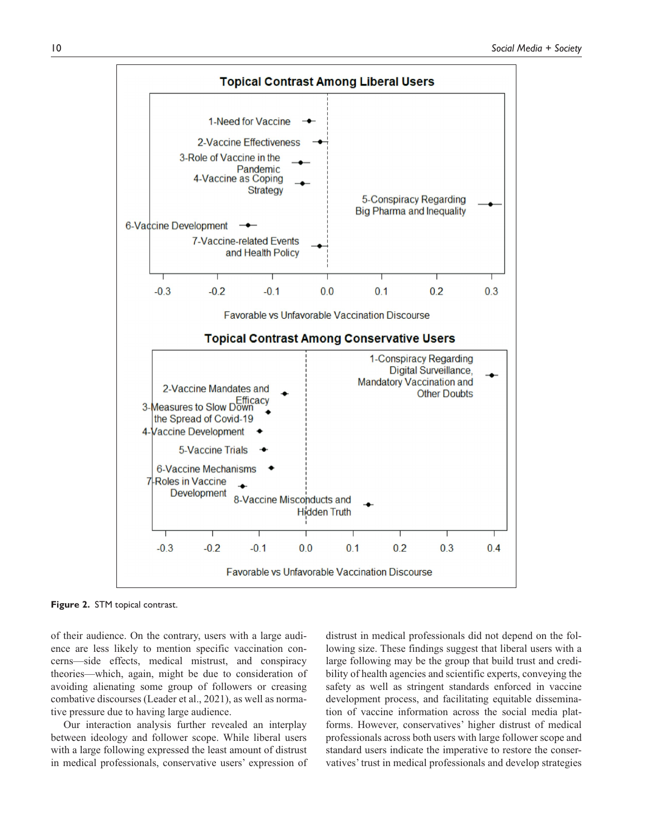

**Figure 2.** STM topical contrast.

of their audience. On the contrary, users with a large audience are less likely to mention specific vaccination concerns—side effects, medical mistrust, and conspiracy theories—which, again, might be due to consideration of avoiding alienating some group of followers or creasing combative discourses (Leader et al., 2021), as well as normative pressure due to having large audience.

Our interaction analysis further revealed an interplay between ideology and follower scope. While liberal users with a large following expressed the least amount of distrust in medical professionals, conservative users' expression of

distrust in medical professionals did not depend on the following size. These findings suggest that liberal users with a large following may be the group that build trust and credibility of health agencies and scientific experts, conveying the safety as well as stringent standards enforced in vaccine development process, and facilitating equitable dissemination of vaccine information across the social media platforms. However, conservatives' higher distrust of medical professionals across both users with large follower scope and standard users indicate the imperative to restore the conservatives' trust in medical professionals and develop strategies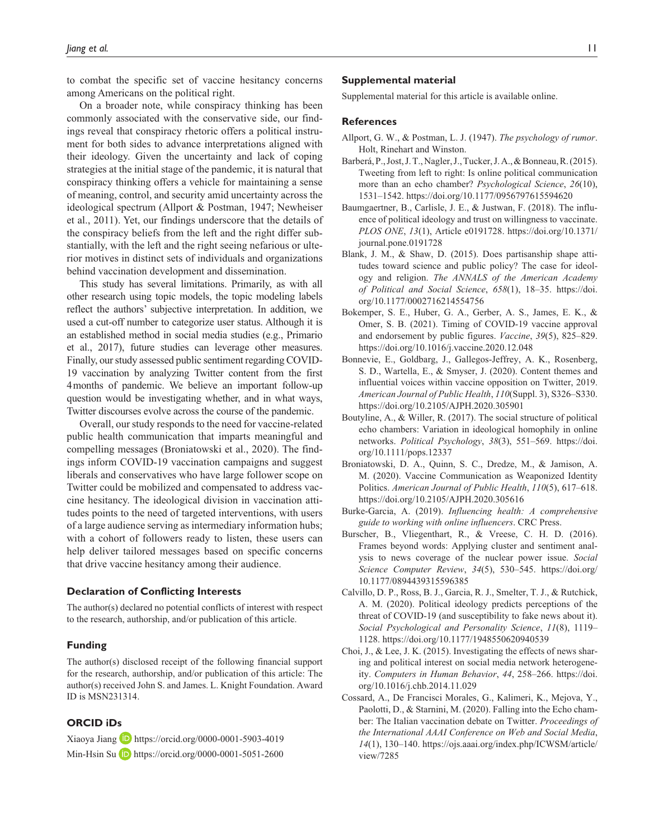to combat the specific set of vaccine hesitancy concerns among Americans on the political right.

On a broader note, while conspiracy thinking has been commonly associated with the conservative side, our findings reveal that conspiracy rhetoric offers a political instrument for both sides to advance interpretations aligned with their ideology. Given the uncertainty and lack of coping strategies at the initial stage of the pandemic, it is natural that conspiracy thinking offers a vehicle for maintaining a sense of meaning, control, and security amid uncertainty across the ideological spectrum (Allport & Postman, 1947; Newheiser et al., 2011). Yet, our findings underscore that the details of the conspiracy beliefs from the left and the right differ substantially, with the left and the right seeing nefarious or ulterior motives in distinct sets of individuals and organizations behind vaccination development and dissemination.

This study has several limitations. Primarily, as with all other research using topic models, the topic modeling labels reflect the authors' subjective interpretation. In addition, we used a cut-off number to categorize user status. Although it is an established method in social media studies (e.g., Primario et al., 2017), future studies can leverage other measures. Finally, our study assessed public sentiment regarding COVID-19 vaccination by analyzing Twitter content from the first 4months of pandemic. We believe an important follow-up question would be investigating whether, and in what ways, Twitter discourses evolve across the course of the pandemic.

Overall, our study responds to the need for vaccine-related public health communication that imparts meaningful and compelling messages (Broniatowski et al., 2020). The findings inform COVID-19 vaccination campaigns and suggest liberals and conservatives who have large follower scope on Twitter could be mobilized and compensated to address vaccine hesitancy. The ideological division in vaccination attitudes points to the need of targeted interventions, with users of a large audience serving as intermediary information hubs; with a cohort of followers ready to listen, these users can help deliver tailored messages based on specific concerns that drive vaccine hesitancy among their audience.

#### **Declaration of Conflicting Interests**

The author(s) declared no potential conflicts of interest with respect to the research, authorship, and/or publication of this article.

#### **Funding**

The author(s) disclosed receipt of the following financial support for the research, authorship, and/or publication of this article: The author(s) received John S. and James. L. Knight Foundation. Award ID is MSN231314.

## **ORCID iDs**

Xiaoya Jiang  $\Box$  <https://orcid.org/0000-0001-5903-4019> Min-Hsin Su **D** <https://orcid.org/0000-0001-5051-2600>

#### **Supplemental material**

Supplemental material for this article is available online.

#### **References**

- Allport, G. W., & Postman, L. J. (1947). *The psychology of rumor*. Holt, Rinehart and Winston.
- Barberá, P., Jost, J. T., Nagler, J., Tucker, J. A., & Bonneau, R. (2015). Tweeting from left to right: Is online political communication more than an echo chamber? *Psychological Science*, *26*(10), 1531–1542. <https://doi.org/10.1177/0956797615594620>
- Baumgaertner, B., Carlisle, J. E., & Justwan, F. (2018). The influence of political ideology and trust on willingness to vaccinate. *PLOS ONE*, *13*(1), Article e0191728. [https://doi.org/10.1371/](https://doi.org/10.1371/journal.pone.0191728) [journal.pone.0191728](https://doi.org/10.1371/journal.pone.0191728)
- Blank, J. M., & Shaw, D. (2015). Does partisanship shape attitudes toward science and public policy? The case for ideology and religion. *The ANNALS of the American Academy of Political and Social Science*, *658*(1), 18–35. [https://doi.](https://doi.org/10.1177/0002716214554756) [org/10.1177/0002716214554756](https://doi.org/10.1177/0002716214554756)
- Bokemper, S. E., Huber, G. A., Gerber, A. S., James, E. K., & Omer, S. B. (2021). Timing of COVID-19 vaccine approval and endorsement by public figures. *Vaccine*, *39*(5), 825–829. <https://doi.org/10.1016/j.vaccine.2020.12.048>
- Bonnevie, E., Goldbarg, J., Gallegos-Jeffrey, A. K., Rosenberg, S. D., Wartella, E., & Smyser, J. (2020). Content themes and influential voices within vaccine opposition on Twitter, 2019. *American Journal of Public Health*, *110*(Suppl. 3), S326–S330. <https://doi.org/10.2105/AJPH.2020.305901>
- Boutyline, A., & Willer, R. (2017). The social structure of political echo chambers: Variation in ideological homophily in online networks. *Political Psychology*, *38*(3), 551–569. [https://doi.](https://doi.org/10.1111/pops.12337) [org/10.1111/pops.12337](https://doi.org/10.1111/pops.12337)
- Broniatowski, D. A., Quinn, S. C., Dredze, M., & Jamison, A. M. (2020). Vaccine Communication as Weaponized Identity Politics. *American Journal of Public Health*, *110*(5), 617–618. <https://doi.org/10.2105/AJPH.2020.305616>
- Burke-Garcia, A. (2019). *Influencing health: A comprehensive guide to working with online influencers*. CRC Press.
- Burscher, B., Vliegenthart, R., & Vreese, C. H. D. (2016). Frames beyond words: Applying cluster and sentiment analysis to news coverage of the nuclear power issue. *Social Science Computer Review*, *34*(5), 530–545. [https://doi.org/](https://doi.org/10.1177/0894439315596385) [10.1177/0894439315596385](https://doi.org/10.1177/0894439315596385)
- Calvillo, D. P., Ross, B. J., Garcia, R. J., Smelter, T. J., & Rutchick, A. M. (2020). Political ideology predicts perceptions of the threat of COVID-19 (and susceptibility to fake news about it). *Social Psychological and Personality Science*, *11*(8), 1119– 1128.<https://doi.org/10.1177/1948550620940539>
- Choi, J., & Lee, J. K. (2015). Investigating the effects of news sharing and political interest on social media network heterogeneity. *Computers in Human Behavior*, *44*, 258–266. [https://doi.](https://doi.org/10.1016/j.chb.2014.11.029) [org/10.1016/j.chb.2014.11.029](https://doi.org/10.1016/j.chb.2014.11.029)
- Cossard, A., De Francisci Morales, G., Kalimeri, K., Mejova, Y., Paolotti, D., & Starnini, M. (2020). Falling into the Echo chamber: The Italian vaccination debate on Twitter. *Proceedings of the International AAAI Conference on Web and Social Media*, *14*(1), 130–140. [https://ojs.aaai.org/index.php/ICWSM/article/](https://ojs.aaai.org/index.php/ICWSM/article/view/7285) [view/7285](https://ojs.aaai.org/index.php/ICWSM/article/view/7285)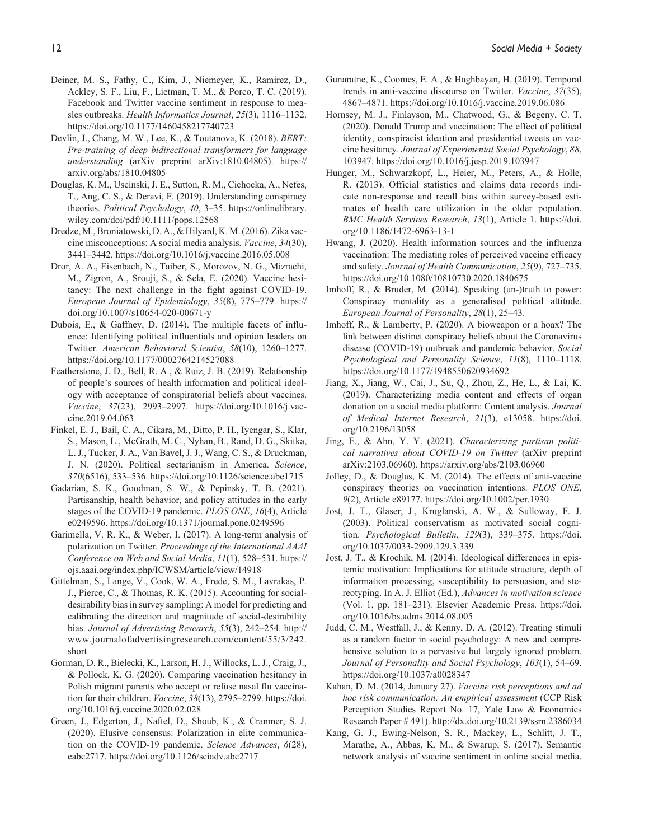- Deiner, M. S., Fathy, C., Kim, J., Niemeyer, K., Ramirez, D., Ackley, S. F., Liu, F., Lietman, T. M., & Porco, T. C. (2019). Facebook and Twitter vaccine sentiment in response to measles outbreaks. *Health Informatics Journal*, *25*(3), 1116–1132. <https://doi.org/10.1177/1460458217740723>
- Devlin, J., Chang, M. W., Lee, K., & Toutanova, K. (2018). *BERT: Pre-training of deep bidirectional transformers for language understanding* (arXiv preprint arXiv:1810.04805). [https://](https://arxiv.org/abs/1810.04805) [arxiv.org/abs/1810.04805](https://arxiv.org/abs/1810.04805)
- Douglas, K. M., Uscinski, J. E., Sutton, R. M., Cichocka, A., Nefes, T., Ang, C. S., & Deravi, F. (2019). Understanding conspiracy theories. *Political Psychology*, *40*, 3–35. [https://onlinelibrary.](https://onlinelibrary.wiley.com/doi/pdf/10.1111/pops.12568) [wiley.com/doi/pdf/10.1111/pops.12568](https://onlinelibrary.wiley.com/doi/pdf/10.1111/pops.12568)
- Dredze, M., Broniatowski, D. A., & Hilyard, K. M. (2016). Zika vaccine misconceptions: A social media analysis. *Vaccine*, *34*(30), 3441–3442.<https://doi.org/10.1016/j.vaccine.2016.05.008>
- Dror, A. A., Eisenbach, N., Taiber, S., Morozov, N. G., Mizrachi, M., Zigron, A., Srouji, S., & Sela, E. (2020). Vaccine hesitancy: The next challenge in the fight against COVID-19. *European Journal of Epidemiology*, *35*(8), 775–779. [https://](https://doi.org/10.1007/s10654-020-00671-y) [doi.org/10.1007/s10654-020-00671-y](https://doi.org/10.1007/s10654-020-00671-y)
- Dubois, E., & Gaffney, D. (2014). The multiple facets of influence: Identifying political influentials and opinion leaders on Twitter. *American Behavioral Scientist*, *58*(10), 1260–1277. <https://doi.org/10.1177/0002764214527088>
- Featherstone, J. D., Bell, R. A., & Ruiz, J. B. (2019). Relationship of people's sources of health information and political ideology with acceptance of conspiratorial beliefs about vaccines. *Vaccine*, *37*(23), 2993–2997. [https://doi.org/10.1016/j.vac](https://doi.org/10.1016/j.vaccine.2019.04.063)[cine.2019.04.063](https://doi.org/10.1016/j.vaccine.2019.04.063)
- Finkel, E. J., Bail, C. A., Cikara, M., Ditto, P. H., Iyengar, S., Klar, S., Mason, L., McGrath, M. C., Nyhan, B., Rand, D. G., Skitka, L. J., Tucker, J. A., Van Bavel, J. J., Wang, C. S., & Druckman, J. N. (2020). Political sectarianism in America. *Science*, *370*(6516), 533–536. <https://doi.org/10.1126/science.abe1715>
- Gadarian, S. K., Goodman, S. W., & Pepinsky, T. B. (2021). Partisanship, health behavior, and policy attitudes in the early stages of the COVID-19 pandemic. *PLOS ONE*, *16*(4), Article e0249596. <https://doi.org/10.1371/journal.pone.0249596>
- Garimella, V. R. K., & Weber, I. (2017). A long-term analysis of polarization on Twitter. *Proceedings of the International AAAI Conference on Web and Social Media*, *11*(1), 528–531. [https://](https://ojs.aaai.org/index.php/ICWSM/article/view/14918) [ojs.aaai.org/index.php/ICWSM/article/view/14918](https://ojs.aaai.org/index.php/ICWSM/article/view/14918)
- Gittelman, S., Lange, V., Cook, W. A., Frede, S. M., Lavrakas, P. J., Pierce, C., & Thomas, R. K. (2015). Accounting for socialdesirability bias in survey sampling: A model for predicting and calibrating the direction and magnitude of social-desirability bias. *Journal of Advertising Research*, *55*(3), 242–254. [http://](http://www.journalofadvertisingresearch.com/content/55/3/242.short) [www.journalofadvertisingresearch.com/content/55/3/242.](http://www.journalofadvertisingresearch.com/content/55/3/242.short) [short](http://www.journalofadvertisingresearch.com/content/55/3/242.short)
- Gorman, D. R., Bielecki, K., Larson, H. J., Willocks, L. J., Craig, J., & Pollock, K. G. (2020). Comparing vaccination hesitancy in Polish migrant parents who accept or refuse nasal flu vaccination for their children. *Vaccine*, *38*(13), 2795–2799. [https://doi.](https://doi.org/10.1016/j.vaccine.2020.02.028) [org/10.1016/j.vaccine.2020.02.028](https://doi.org/10.1016/j.vaccine.2020.02.028)
- Green, J., Edgerton, J., Naftel, D., Shoub, K., & Cranmer, S. J. (2020). Elusive consensus: Polarization in elite communication on the COVID-19 pandemic. *Science Advances*, *6*(28), eabc2717. <https://doi.org/10.1126/sciadv.abc2717>
- Gunaratne, K., Coomes, E. A., & Haghbayan, H. (2019). Temporal trends in anti-vaccine discourse on Twitter. *Vaccine*, *37*(35), 4867–4871.<https://doi.org/10.1016/j.vaccine.2019.06.086>
- Hornsey, M. J., Finlayson, M., Chatwood, G., & Begeny, C. T. (2020). Donald Trump and vaccination: The effect of political identity, conspiracist ideation and presidential tweets on vaccine hesitancy. *Journal of Experimental Social Psychology*, *88*, 103947.<https://doi.org/10.1016/j.jesp.2019.103947>
- Hunger, M., Schwarzkopf, L., Heier, M., Peters, A., & Holle, R. (2013). Official statistics and claims data records indicate non-response and recall bias within survey-based estimates of health care utilization in the older population. *BMC Health Services Research*, *13*(1), Article 1. [https://doi.](https://doi.org/10.1186/1472-6963-13-1) [org/10.1186/1472-6963-13-1](https://doi.org/10.1186/1472-6963-13-1)
- Hwang, J. (2020). Health information sources and the influenza vaccination: The mediating roles of perceived vaccine efficacy and safety. *Journal of Health Communication*, *25*(9), 727–735. <https://doi.org/10.1080/10810730.2020.1840675>
- Imhoff, R., & Bruder, M. (2014). Speaking (un-)truth to power: Conspiracy mentality as a generalised political attitude. *European Journal of Personality*, *28*(1), 25–43.
- Imhoff, R., & Lamberty, P. (2020). A bioweapon or a hoax? The link between distinct conspiracy beliefs about the Coronavirus disease (COVID-19) outbreak and pandemic behavior. *Social Psychological and Personality Science*, *11*(8), 1110–1118. <https://doi.org/10.1177/1948550620934692>
- Jiang, X., Jiang, W., Cai, J., Su, Q., Zhou, Z., He, L., & Lai, K. (2019). Characterizing media content and effects of organ donation on a social media platform: Content analysis. *Journal of Medical Internet Research*, *21*(3), e13058. [https://doi.](https://doi.org/10.2196/13058) [org/10.2196/13058](https://doi.org/10.2196/13058)
- Jing, E., & Ahn, Y. Y. (2021). *Characterizing partisan political narratives about COVID-19 on Twitter* (arXiv preprint arXiv:2103.06960). <https://arxiv.org/abs/2103.06960>
- Jolley, D., & Douglas, K. M. (2014). The effects of anti-vaccine conspiracy theories on vaccination intentions. *PLOS ONE*, *9*(2), Article e89177.<https://doi.org/10.1002/per.1930>
- Jost, J. T., Glaser, J., Kruglanski, A. W., & Sulloway, F. J. (2003). Political conservatism as motivated social cognition. *Psychological Bulletin*, *129*(3), 339–375. [https://doi.](https://doi.org/10.1037/0033-2909.129.3.339) [org/10.1037/0033-2909.129.3.339](https://doi.org/10.1037/0033-2909.129.3.339)
- Jost, J. T., & Krochik, M. (2014). Ideological differences in epistemic motivation: Implications for attitude structure, depth of information processing, susceptibility to persuasion, and stereotyping. In A. J. Elliot (Ed.), *Advances in motivation science* (Vol. 1, pp. 181–231). Elsevier Academic Press. [https://doi.](https://doi.org/10.1016/bs.adms.2014.08.005) [org/10.1016/bs.adms.2014.08.005](https://doi.org/10.1016/bs.adms.2014.08.005)
- Judd, C. M., Westfall, J., & Kenny, D. A. (2012). Treating stimuli as a random factor in social psychology: A new and comprehensive solution to a pervasive but largely ignored problem. *Journal of Personality and Social Psychology*, *103*(1), 54–69. <https://doi.org/10.1037/a0028347>
- Kahan, D. M. (2014, January 27). *Vaccine risk perceptions and ad hoc risk communication: An empirical assessment* (CCP Risk Perception Studies Report No. 17, Yale Law & Economics Research Paper # 491).<http://dx.doi.org/10.2139/ssrn.2386034>
- Kang, G. J., Ewing-Nelson, S. R., Mackey, L., Schlitt, J. T., Marathe, A., Abbas, K. M., & Swarup, S. (2017). Semantic network analysis of vaccine sentiment in online social media.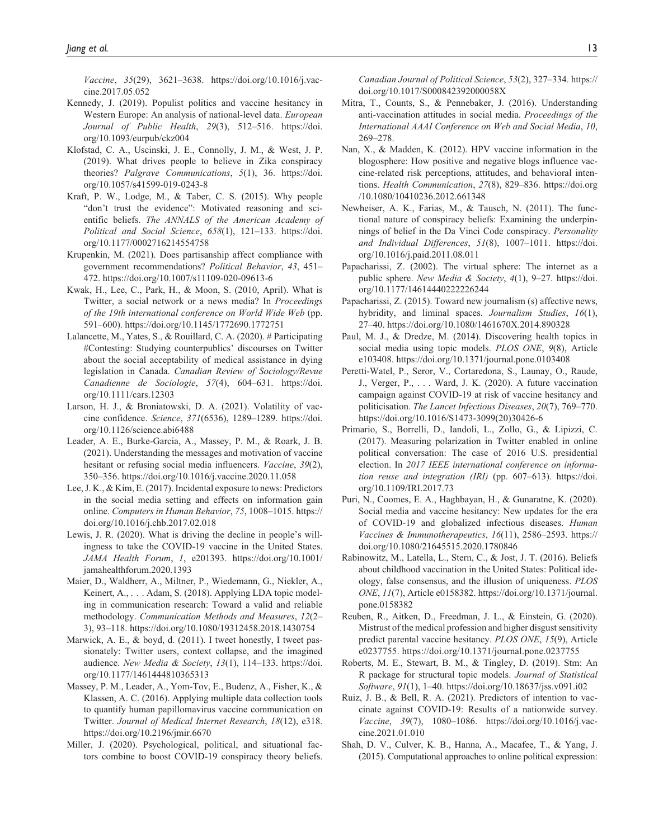*Vaccine*, *35*(29), 3621–3638. [https://doi.org/10.1016/j.vac](https://doi.org/10.1016/j.vaccine.2017.05.052)[cine.2017.05.052](https://doi.org/10.1016/j.vaccine.2017.05.052)

- Kennedy, J. (2019). Populist politics and vaccine hesitancy in Western Europe: An analysis of national-level data. *European Journal of Public Health*, *29*(3), 512–516. [https://doi.](https://doi.org/10.1093/eurpub/ckz004) [org/10.1093/eurpub/ckz004](https://doi.org/10.1093/eurpub/ckz004)
- Klofstad, C. A., Uscinski, J. E., Connolly, J. M., & West, J. P. (2019). What drives people to believe in Zika conspiracy theories? *Palgrave Communications*, *5*(1), 36. [https://doi.](https://doi.org/10.1057/s41599-019-0243-8) [org/10.1057/s41599-019-0243-8](https://doi.org/10.1057/s41599-019-0243-8)
- Kraft, P. W., Lodge, M., & Taber, C. S. (2015). Why people "don't trust the evidence": Motivated reasoning and scientific beliefs. *The ANNALS of the American Academy of Political and Social Science*, *658*(1), 121–133. [https://doi.](https://doi.org/10.1177/0002716214554758) [org/10.1177/0002716214554758](https://doi.org/10.1177/0002716214554758)
- Krupenkin, M. (2021). Does partisanship affect compliance with government recommendations? *Political Behavior*, *43*, 451– 472. <https://doi.org/10.1007/s11109-020-09613-6>
- Kwak, H., Lee, C., Park, H., & Moon, S. (2010, April). What is Twitter, a social network or a news media? In *Proceedings of the 19th international conference on World Wide Web* (pp. 591–600). <https://doi.org/10.1145/1772690.1772751>
- Lalancette, M., Yates, S., & Rouillard, C. A. (2020). # Participating #Contesting: Studying counterpublics' discourses on Twitter about the social acceptability of medical assistance in dying legislation in Canada. *Canadian Review of Sociology/Revue Canadienne de Sociologie*, *57*(4), 604–631. [https://doi.](https://doi.org/10.1111/cars.12303) [org/10.1111/cars.12303](https://doi.org/10.1111/cars.12303)
- Larson, H. J., & Broniatowski, D. A. (2021). Volatility of vaccine confidence. *Science*, *371*(6536), 1289–1289. [https://doi.](https://doi.org/10.1126/science.abi6488) [org/10.1126/science.abi6488](https://doi.org/10.1126/science.abi6488)
- Leader, A. E., Burke-Garcia, A., Massey, P. M., & Roark, J. B. (2021). Understanding the messages and motivation of vaccine hesitant or refusing social media influencers. *Vaccine*, *39*(2), 350–356. <https://doi.org/10.1016/j.vaccine.2020.11.058>
- Lee, J. K., & Kim, E. (2017). Incidental exposure to news: Predictors in the social media setting and effects on information gain online. *Computers in Human Behavior*, *75*, 1008–1015. [https://](https://doi.org/10.1016/j.chb.2017.02.018) [doi.org/10.1016/j.chb.2017.02.018](https://doi.org/10.1016/j.chb.2017.02.018)
- Lewis, J. R. (2020). What is driving the decline in people's willingness to take the COVID-19 vaccine in the United States. *JAMA Health Forum*, *1*, e201393. [https://doi.org/10.1001/](https://doi.org/10.1001/jamahealthforum.2020.1393) [jamahealthforum.2020.1393](https://doi.org/10.1001/jamahealthforum.2020.1393)
- Maier, D., Waldherr, A., Miltner, P., Wiedemann, G., Niekler, A., Keinert, A., . . . Adam, S. (2018). Applying LDA topic modeling in communication research: Toward a valid and reliable methodology. *Communication Methods and Measures*, *12*(2– 3), 93–118.<https://doi.org/10.1080/19312458.2018.1430754>
- Marwick, A. E., & boyd, d. (2011). I tweet honestly, I tweet passionately: Twitter users, context collapse, and the imagined audience. *New Media & Society*, *13*(1), 114–133. [https://doi.](https://doi.org/10.1177/1461444810365313) [org/10.1177/1461444810365313](https://doi.org/10.1177/1461444810365313)
- Massey, P. M., Leader, A., Yom-Tov, E., Budenz, A., Fisher, K., & Klassen, A. C. (2016). Applying multiple data collection tools to quantify human papillomavirus vaccine communication on Twitter. *Journal of Medical Internet Research*, *18*(12), e318. <https://doi.org/10.2196/jmir.6670>
- Miller, J. (2020). Psychological, political, and situational factors combine to boost COVID-19 conspiracy theory beliefs.

*Canadian Journal of Political Science*, *53*(2), 327–334. [https://](https://doi.org/10.1017/S000842392000058X) [doi.org/10.1017/S000842392000058X](https://doi.org/10.1017/S000842392000058X)

- Mitra, T., Counts, S., & Pennebaker, J. (2016). Understanding anti-vaccination attitudes in social media. *Proceedings of the International AAAI Conference on Web and Social Media*, *10*, 269–278.
- Nan, X., & Madden, K. (2012). HPV vaccine information in the blogosphere: How positive and negative blogs influence vaccine-related risk perceptions, attitudes, and behavioral intentions. *Health Communication*, *27*(8), 829–836. [https://doi.org](https://doi.org/10.1080/10410236.2012.661348) [/10.1080/10410236.2012.661348](https://doi.org/10.1080/10410236.2012.661348)
- Newheiser, A. K., Farias, M., & Tausch, N. (2011). The functional nature of conspiracy beliefs: Examining the underpinnings of belief in the Da Vinci Code conspiracy. *Personality and Individual Differences*, *51*(8), 1007–1011. [https://doi.](https://doi.org/10.1016/j.paid.2011.08.011) [org/10.1016/j.paid.2011.08.011](https://doi.org/10.1016/j.paid.2011.08.011)
- Papacharissi, Z. (2002). The virtual sphere: The internet as a public sphere. *New Media & Society*, *4*(1), 9–27. [https://doi.](https://doi.org/10.1177/14614440222226244) [org/10.1177/14614440222226244](https://doi.org/10.1177/14614440222226244)
- Papacharissi, Z. (2015). Toward new journalism (s) affective news, hybridity, and liminal spaces. *Journalism Studies*, *16*(1), 27–40. <https://doi.org/10.1080/1461670X.2014.890328>
- Paul, M. J., & Dredze, M. (2014). Discovering health topics in social media using topic models. *PLOS ONE*, *9*(8), Article e103408. <https://doi.org/10.1371/journal.pone.0103408>
- Peretti-Watel, P., Seror, V., Cortaredona, S., Launay, O., Raude, J., Verger, P., . . . Ward, J. K. (2020). A future vaccination campaign against COVID-19 at risk of vaccine hesitancy and politicisation. *The Lancet Infectious Diseases*, *20*(7), 769–770. [https://doi.org/10.1016/S1473-3099\(20\)30426-6](https://doi.org/10.1016/S1473-3099(20)30426-6)
- Primario, S., Borrelli, D., Iandoli, L., Zollo, G., & Lipizzi, C. (2017). Measuring polarization in Twitter enabled in online political conversation: The case of 2016 U.S. presidential election. In *2017 IEEE international conference on information reuse and integration (IRI)* (pp. 607–613). [https://doi.](https://doi.org/10.1109/IRI.2017.73) [org/10.1109/IRI.2017.73](https://doi.org/10.1109/IRI.2017.73)
- Puri, N., Coomes, E. A., Haghbayan, H., & Gunaratne, K. (2020). Social media and vaccine hesitancy: New updates for the era of COVID-19 and globalized infectious diseases. *Human Vaccines & Immunotherapeutics*, *16*(11), 2586–2593. [https://](https://doi.org/10.1080/21645515.2020.1780846) [doi.org/10.1080/21645515.2020.1780846](https://doi.org/10.1080/21645515.2020.1780846)
- Rabinowitz, M., Latella, L., Stern, C., & Jost, J. T. (2016). Beliefs about childhood vaccination in the United States: Political ideology, false consensus, and the illusion of uniqueness. *PLOS ONE*, *11*(7), Article e0158382. [https://doi.org/10.1371/journal.](https://doi.org/10.1371/journal.pone.0158382) [pone.0158382](https://doi.org/10.1371/journal.pone.0158382)
- Reuben, R., Aitken, D., Freedman, J. L., & Einstein, G. (2020). Mistrust of the medical profession and higher disgust sensitivity predict parental vaccine hesitancy. *PLOS ONE*, *15*(9), Article e0237755.<https://doi.org/10.1371/journal.pone.0237755>
- Roberts, M. E., Stewart, B. M., & Tingley, D. (2019). Stm: An R package for structural topic models. *Journal of Statistical Software*, *91*(1), 1–40.<https://doi.org/10.18637/jss.v091.i02>
- Ruiz, J. B., & Bell, R. A. (2021). Predictors of intention to vaccinate against COVID-19: Results of a nationwide survey. *Vaccine*, *39*(7), 1080–1086. [https://doi.org/10.1016/j.vac](https://doi.org/10.1016/j.vaccine.2021.01.010)[cine.2021.01.010](https://doi.org/10.1016/j.vaccine.2021.01.010)
- Shah, D. V., Culver, K. B., Hanna, A., Macafee, T., & Yang, J. (2015). Computational approaches to online political expression: